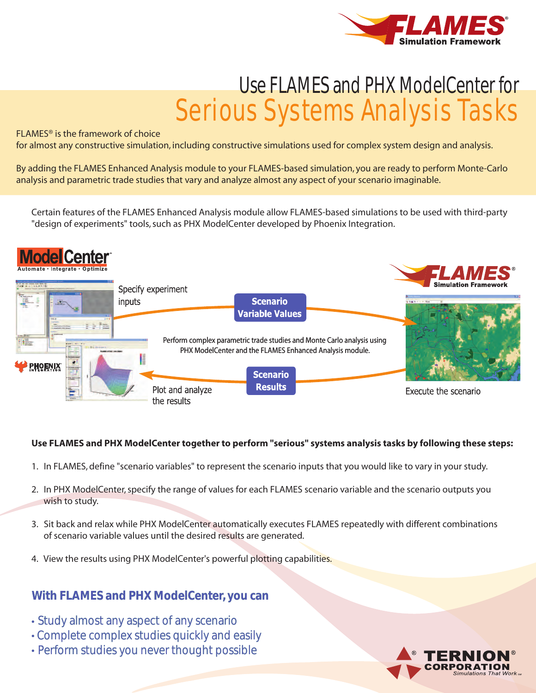

# Use FLAMES and PHX ModelCenter for Serious Systems Analysis Tasks

### FLAMES® is the framework of choice

for almost any constructive simulation, including constructive simulations used for complex system design and analysis.

By adding the FLAMES Enhanced Analysis module to your FLAMES-based simulation, you are ready to perform Monte-Carlo analysis and parametric trade studies that vary and analyze almost any aspect of your scenario imaginable.

Certain features of the FLAMES Enhanced Analysis module allow FLAMES-based simulations to be used with third-party "design of experiments" tools, such as PHX ModelCenter developed by Phoenix Integration.



## **Use FLAMES and PHX ModelCenter together to perform "serious" systems analysis tasks by following these steps:**

- 1. In FLAMES, define "scenario variables" to represent the scenario inputs that you would like to vary in your study.
- 2. In PHX ModelCenter, specify the range of values for each FLAMES scenario variable and the scenario outputs you wish to study.
- 3. Sit back and relax while PHX ModelCenter automatically executes FLAMES repeatedly with different combinations of scenario variable values until the desired results are generated.
- 4. View the results using PHX ModelCenter's powerful plotting capabilities.

# **With FLAMES and PHX ModelCenter, you can**

- Study almost any aspect of any scenario
- Complete complex studies quickly and easily
- Perform studies you never thought possible